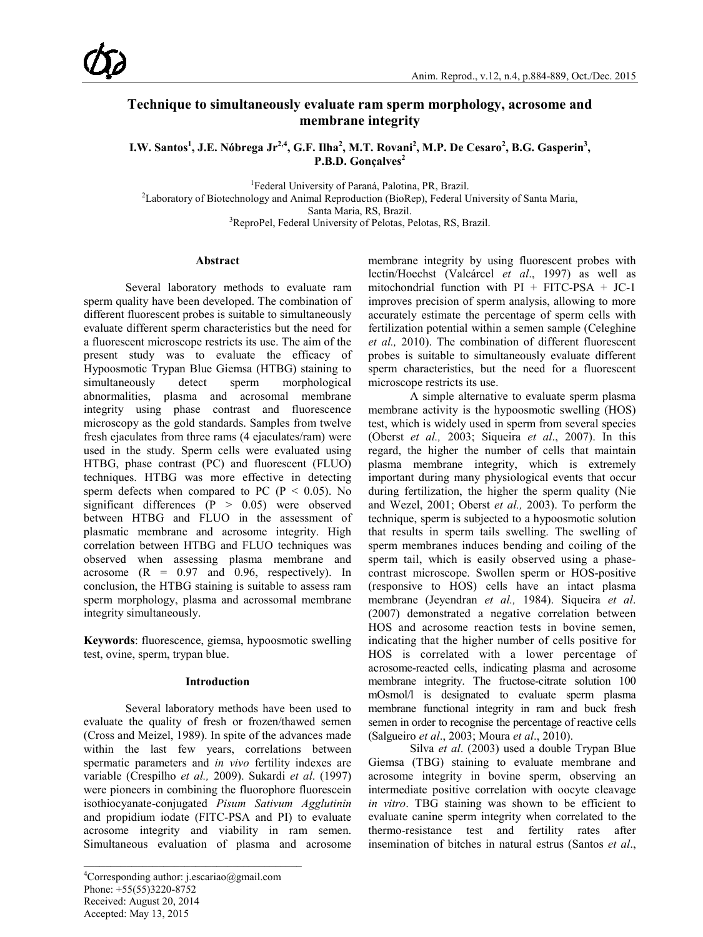# **Technique to simultaneously evaluate ram sperm morphology, acrosome and membrane integrity**

**I.W. Santos 1 , J.E. Nóbrega Jr2,4, G.F. Ilha<sup>2</sup> , M.T. Rovani2 , M.P. De Cesaro<sup>2</sup> , B.G. Gasperin3 ,** P.B.D. Gonçalves<sup>2</sup>

<sup>1</sup>Federal University of Paraná, Palotina, PR, Brazil.

Federal University of Paraná, Palotina, PR, Brazil. <sup>2</sup> Laboratory of Biotechnology and Animal Reproduction (BioRep), Federal University of Santa Maria, Santa Maria, RS, Brazil. <sup>3</sup> ReproPel, Federal University of Pelotas, Pelotas, RS, Brazil.

## **Abstract**

Several laboratory methods to evaluate ram sperm quality have been developed. The combination of different fluorescent probes is suitable to simultaneously evaluate different sperm characteristics but the need for a fluorescent microscope restricts its use. The aim of the present study was to evaluate the efficacy of Hypoosmotic Trypan Blue Giemsa (HTBG) staining to simultaneously detect sperm morphological abnormalities, plasma and acrosomal membrane integrity using phase contrast and fluorescence microscopy as the gold standards. Samples from twelve fresh ejaculates from three rams (4 ejaculates/ram) were used in the study. Sperm cells were evaluated using HTBG, phase contrast (PC) and fluorescent (FLUO) techniques. HTBG was more effective in detecting sperm defects when compared to PC ( $P < 0.05$ ). No significant differences (P > 0.05) were observed between HTBG and FLUO in the assessment of plasmatic membrane and acrosome integrity. High correlation between HTBG and FLUO techniques was observed when assessing plasma membrane and acrosome  $(R = 0.97$  and 0.96, respectively). In conclusion, the HTBG staining is suitable to assess ram sperm morphology, plasma and acrossomal membrane integrity simultaneously.

**Keywords**: fluorescence, giemsa, hypoosmotic swelling test, ovine, sperm, trypan blue.

## **Introduction**

Several laboratory methods have been used to evaluate the quality of fresh or frozen/thawed semen (Cross and Meizel, 1989). In spite of the advances made within the last few years, correlations between spermatic parameters and *in vivo* fertility indexes are variable (Crespilho *et al.,* 2009). Sukardi *et al*. (1997) were pioneers in combining the fluorophore fluorescein isothiocyanate-conjugated *Pisum Sativum Agglutinin*  and propidium iodate (FITC-PSA and PI) to evaluate acrosome integrity and viability in ram semen. Simultaneous evaluation of plasma and acrosome

membrane integrity by using fluorescent probes with lectin/Hoechst (Valcárcel *et al*., 1997) as well as mitochondrial function with  $PI + FITC-PSA + JC-1$ improves precision of sperm analysis, allowing to more accurately estimate the percentage of sperm cells with fertilization potential within a semen sample (Celeghine *et al.,* 2010). The combination of different fluorescent probes is suitable to simultaneously evaluate different sperm characteristics, but the need for a fluorescent microscope restricts its use.

A simple alternative to evaluate sperm plasma membrane activity is the hypoosmotic swelling (HOS) test, which is widely used in sperm from several species (Oberst *et al.,* 2003; Siqueira *et al*., 2007). In this regard, the higher the number of cells that maintain plasma membrane integrity, which is extremely important during many physiological events that occur during fertilization, the higher the sperm quality (Nie and Wezel, 2001; Oberst *et al.,* 2003). To perform the technique, sperm is subjected to a hypoosmotic solution that results in sperm tails swelling. The swelling of sperm membranes induces bending and coiling of the sperm tail, which is easily observed using a phasecontrast microscope. Swollen sperm or HOS-positive (responsive to HOS) cells have an intact plasma membrane (Jeyendran *et al.,* 1984). Siqueira *et al*. (2007) demonstrated a negative correlation between HOS and acrosome reaction tests in bovine semen, indicating that the higher number of cells positive for HOS is correlated with a lower percentage of acrosome-reacted cells, indicating plasma and acrosome membrane integrity. The fructose-citrate solution 100 mOsmol/l is designated to evaluate sperm plasma membrane functional integrity in ram and buck fresh semen in order to recognise the percentage of reactive cells (Salgueiro *et al*., 2003; Moura *et al*., 2010).

Silva *et al*. (2003) used a double Trypan Blue Giemsa (TBG) staining to evaluate membrane and acrosome integrity in bovine sperm, observing an intermediate positive correlation with oocyte cleavage *in vitro*. TBG staining was shown to be efficient to evaluate canine sperm integrity when correlated to the thermo-resistance test and fertility rates after insemination of bitches in natural estrus (Santos *et al*.,

<sup>4</sup> Corresponding author: j.escariao@gmail.com Phone: +55(55)3220-8752 Received: August 20, 2014 Accepted: May 13, 2015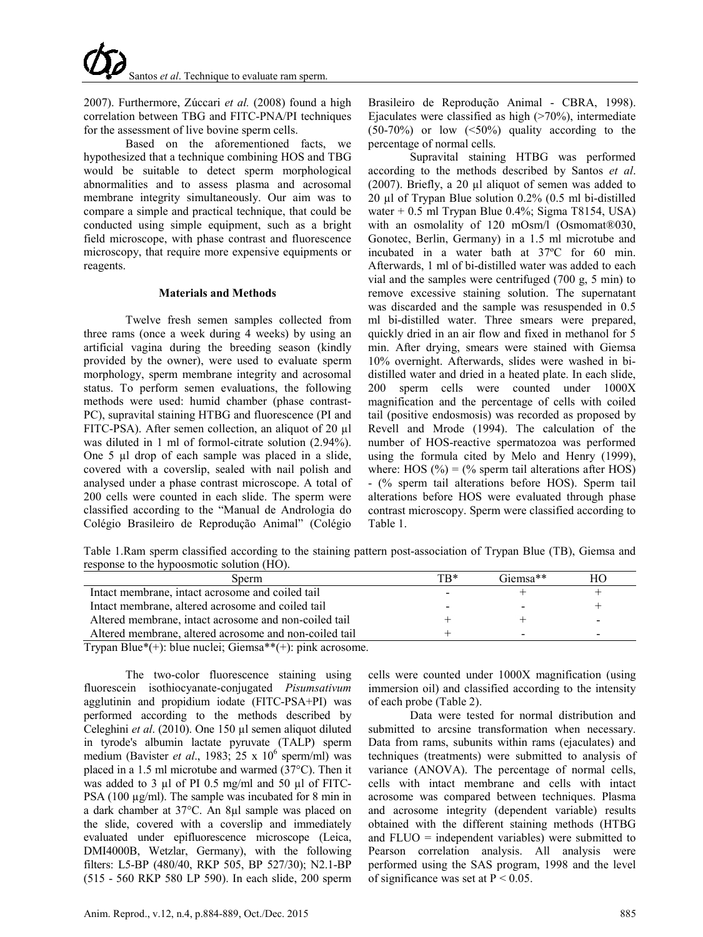2007). Furthermore, Zúccari *et al.* (2008) found a high correlation between TBG and FITC-PNA/PI techniques for the assessment of live bovine sperm cells.

Based on the aforementioned facts, we hypothesized that a technique combining HOS and TBG would be suitable to detect sperm morphological abnormalities and to assess plasma and acrosomal membrane integrity simultaneously. Our aim was to compare a simple and practical technique, that could be conducted using simple equipment, such as a bright field microscope, with phase contrast and fluorescence microscopy, that require more expensive equipments or reagents.

# **Materials and Methods**

Twelve fresh semen samples collected from three rams (once a week during 4 weeks) by using an artificial vagina during the breeding season (kindly provided by the owner), were used to evaluate sperm morphology, sperm membrane integrity and acrosomal status. To perform semen evaluations, the following methods were used: humid chamber (phase contrast-PC), supravital staining HTBG and fluorescence (PI and FITC-PSA). After semen collection, an aliquot of 20 µl was diluted in 1 ml of formol-citrate solution (2.94%). One 5 µl drop of each sample was placed in a slide, covered with a coverslip, sealed with nail polish and analysed under a phase contrast microscope. A total of 200 cells were counted in each slide. The sperm were classified according to the "Manual de Andrologia do Colégio Brasileiro de Reprodução Animal" (Colégio

Brasileiro de Reprodução Animal - CBRA, 1998). Ejaculates were classified as high  $($ >70%), intermediate  $(50-70%)$  or low  $(\leq 50%)$  quality according to the percentage of normal cells.

Supravital staining HTBG was performed according to the methods described by Santos *et al*. (2007). Briefly, a 20 µl aliquot of semen was added to 20 µl of Trypan Blue solution 0.2% (0.5 ml bi-distilled water  $+ 0.5$  ml Trypan Blue 0.4%; Sigma T8154, USA) with an osmolality of 120 mOsm/l (Osmomat®030, Gonotec, Berlin, Germany) in a 1.5 ml microtube and incubated in a water bath at 37ºC for 60 min. Afterwards, 1 ml of bi-distilled water was added to each vial and the samples were centrifuged (700 g, 5 min) to remove excessive staining solution. The supernatant was discarded and the sample was resuspended in 0.5 ml bi-distilled water. Three smears were prepared, quickly dried in an air flow and fixed in methanol for 5 min. After drying, smears were stained with Giemsa 10% overnight. Afterwards, slides were washed in bidistilled water and dried in a heated plate. In each slide, 200 sperm cells were counted under 1000X magnification and the percentage of cells with coiled tail (positive endosmosis) was recorded as proposed by Revell and Mrode (1994). The calculation of the number of HOS-reactive spermatozoa was performed using the formula cited by Melo and Henry (1999), where: HOS  $(\% ) = (\%$  sperm tail alterations after HOS) - (% sperm tail alterations before HOS). Sperm tail alterations before HOS were evaluated through phase contrast microscopy. Sperm were classified according to Table 1.

Table 1.Ram sperm classified according to the staining pattern post-association of Trypan Blue (TB), Giemsa and response to the hypoosmotic solution (HO).

| Sperm                                                  | TR* | Giemsa** | HΟ                       |
|--------------------------------------------------------|-----|----------|--------------------------|
| Intact membrane, intact acrosome and coiled tail       |     |          |                          |
| Intact membrane, altered acrosome and coiled tail      |     |          |                          |
| Altered membrane, intact acrosome and non-coiled tail  |     |          | $\overline{\phantom{0}}$ |
| Altered membrane, altered acrosome and non-coiled tail |     | -        | -                        |
| $-$                                                    |     |          |                          |

Trypan Blue\*(+): blue nuclei; Giemsa\*\*(+): pink acrosome.

The two-color fluorescence staining using fluorescein isothiocyanate-conjugated *Pisumsativum* agglutinin and propidium iodate (FITC-PSA+PI) was performed according to the methods described by Celeghini *et al*. (2010). One 150 µl semen aliquot diluted in tyrode's albumin lactate pyruvate (TALP) sperm medium (Bavister et al., 1983; 25 x 10<sup>6</sup> sperm/ml) was placed in a 1.5 ml microtube and warmed (37°C). Then it was added to 3 µl of PI 0.5 mg/ml and 50 µl of FITC-PSA (100  $\mu$ g/ml). The sample was incubated for 8 min in a dark chamber at 37°C. An 8µl sample was placed on the slide, covered with a coverslip and immediately evaluated under epifluorescence microscope (Leica, DMI4000B, Wetzlar, Germany), with the following filters: L5-BP (480/40, RKP 505, BP 527/30); N2.1-BP (515 - 560 RKP 580 LP 590). In each slide, 200 sperm

cells were counted under 1000X magnification (using immersion oil) and classified according to the intensity of each probe (Table 2).

Data were tested for normal distribution and submitted to arcsine transformation when necessary. Data from rams, subunits within rams (ejaculates) and techniques (treatments) were submitted to analysis of variance (ANOVA). The percentage of normal cells, cells with intact membrane and cells with intact acrosome was compared between techniques. Plasma and acrosome integrity (dependent variable) results obtained with the different staining methods (HTBG and FLUO = independent variables) were submitted to Pearson correlation analysis. All analysis were performed using the SAS program, 1998 and the level of significance was set at  $P < 0.05$ .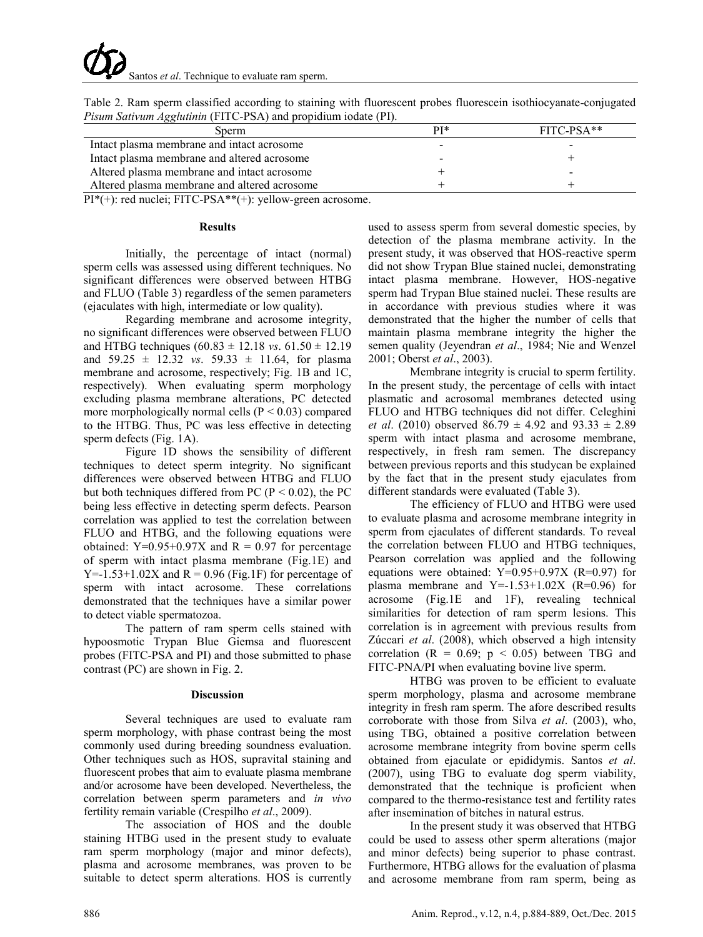| <i>Pisum Sativum Agglutinin</i> (FITC-PSA) and propidium iodate (PI). |     |              |  |  |  |
|-----------------------------------------------------------------------|-----|--------------|--|--|--|
| Sperm                                                                 | PI* | $FITC-PSA**$ |  |  |  |
| Intact plasma membrane and intact acrosome                            |     |              |  |  |  |
| Intact plasma membrane and altered acrosome                           |     |              |  |  |  |
| Altered plasma membrane and intact acrosome                           |     |              |  |  |  |
| Altered plasma membrane and altered acrosome                          |     |              |  |  |  |

Table 2. Ram sperm classified according to staining with fluorescent probes fluorescein isothiocyanate-conjugated *Pisum Sativum Agglutinin* (FITC-PSA) and propidium iodate (PI).

PI\*(+): red nuclei; FITC-PSA\*\*(+): yellow-green acrosome.

#### **Results**

Initially, the percentage of intact (normal) sperm cells was assessed using different techniques. No significant differences were observed between HTBG and FLUO (Table 3) regardless of the semen parameters (ejaculates with high, intermediate or low quality).

Regarding membrane and acrosome integrity, no significant differences were observed between FLUO and HTBG techniques (60.83 ± 12.18 *vs*. 61.50 ± 12.19 and  $59.25 \pm 12.32$  *vs.*  $59.33 \pm 11.64$ , for plasma membrane and acrosome, respectively; Fig. 1B and 1C, respectively). When evaluating sperm morphology excluding plasma membrane alterations, PC detected more morphologically normal cells ( $P < 0.03$ ) compared to the HTBG. Thus, PC was less effective in detecting sperm defects (Fig. 1A).

Figure 1D shows the sensibility of different techniques to detect sperm integrity. No significant differences were observed between HTBG and FLUO but both techniques differed from PC ( $P < 0.02$ ), the PC being less effective in detecting sperm defects. Pearson correlation was applied to test the correlation between FLUO and HTBG, and the following equations were obtained:  $Y=0.95+0.97X$  and  $R = 0.97$  for percentage of sperm with intact plasma membrane (Fig.1E) and  $Y=1.53+1.02X$  and  $R = 0.96$  (Fig.1F) for percentage of sperm with intact acrosome. These correlations demonstrated that the techniques have a similar power to detect viable spermatozoa.

The pattern of ram sperm cells stained with hypoosmotic Trypan Blue Giemsa and fluorescent probes (FITC-PSA and PI) and those submitted to phase contrast (PC) are shown in Fig. 2.

#### **Discussion**

Several techniques are used to evaluate ram sperm morphology, with phase contrast being the most commonly used during breeding soundness evaluation. Other techniques such as HOS, supravital staining and fluorescent probes that aim to evaluate plasma membrane and/or acrosome have been developed. Nevertheless, the correlation between sperm parameters and *in vivo* fertility remain variable (Crespilho *et al*., 2009).

The association of HOS and the double staining HTBG used in the present study to evaluate ram sperm morphology (major and minor defects), plasma and acrosome membranes, was proven to be suitable to detect sperm alterations. HOS is currently

used to assess sperm from several domestic species, by detection of the plasma membrane activity. In the present study, it was observed that HOS-reactive sperm did not show Trypan Blue stained nuclei, demonstrating intact plasma membrane. However, HOS-negative sperm had Trypan Blue stained nuclei. These results are in accordance with previous studies where it was demonstrated that the higher the number of cells that maintain plasma membrane integrity the higher the semen quality (Jeyendran *et al*., 1984; Nie and Wenzel 2001; Oberst *et al*., 2003).

Membrane integrity is crucial to sperm fertility. In the present study, the percentage of cells with intact plasmatic and acrosomal membranes detected using FLUO and HTBG techniques did not differ. Celeghini *et al*. (2010) observed 86.79 ± 4.92 and 93.33 ± 2.89 sperm with intact plasma and acrosome membrane, respectively, in fresh ram semen. The discrepancy between previous reports and this studycan be explained by the fact that in the present study ejaculates from different standards were evaluated (Table 3).

The efficiency of FLUO and HTBG were used to evaluate plasma and acrosome membrane integrity in sperm from ejaculates of different standards. To reveal the correlation between FLUO and HTBG techniques, Pearson correlation was applied and the following equations were obtained: Y=0.95+0.97X (R=0.97) for plasma membrane and  $Y=-1.53+1.02X$  (R=0.96) for acrosome (Fig.1E and 1F), revealing technical similarities for detection of ram sperm lesions. This correlation is in agreement with previous results from Zúccari *et al*. (2008), which observed a high intensity correlation  $(R = 0.69; p < 0.05)$  between TBG and FITC-PNA/PI when evaluating bovine live sperm.

HTBG was proven to be efficient to evaluate sperm morphology, plasma and acrosome membrane integrity in fresh ram sperm. The afore described results corroborate with those from Silva *et al*. (2003), who, using TBG, obtained a positive correlation between acrosome membrane integrity from bovine sperm cells obtained from ejaculate or epididymis. Santos *et al*. (2007), using TBG to evaluate dog sperm viability, demonstrated that the technique is proficient when compared to the thermo-resistance test and fertility rates after insemination of bitches in natural estrus.

In the present study it was observed that HTBG could be used to assess other sperm alterations (major and minor defects) being superior to phase contrast. Furthermore, HTBG allows for the evaluation of plasma and acrosome membrane from ram sperm, being as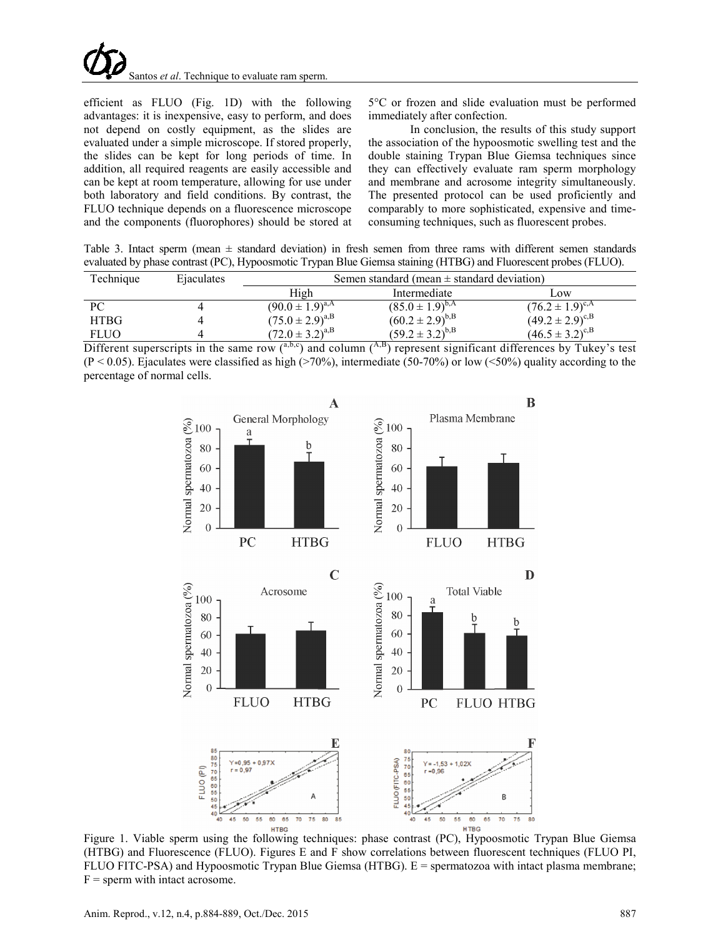

efficient as FLUO (Fig. 1D) with the following advantages: it is inexpensive, easy to perform, and does not depend on costly equipment, as the slides are evaluated under a simple microscope. If stored properly, the slides can be kept for long periods of time. In addition, all required reagents are easily accessible and can be kept at room temperature, allowing for use under both laboratory and field conditions. By contrast, the FLUO technique depends on a fluorescence microscope and the components (fluorophores) should be stored at 5°C or frozen and slide evaluation must be performed immediately after confection.

In conclusion, the results of this study support the association of the hypoosmotic swelling test and the double staining Trypan Blue Giemsa techniques since they can effectively evaluate ram sperm morphology and membrane and acrosome integrity simultaneously. The presented protocol can be used proficiently and comparably to more sophisticated, expensive and timeconsuming techniques, such as fluorescent probes.

Table 3. Intact sperm (mean  $\pm$  standard deviation) in fresh semen from three rams with different semen standards evaluated by phase contrast (PC), Hypoosmotic Trypan Blue Giemsa staining (HTBG) and Fluorescent probes (FLUO).

| Technique   | Ejaculates | Semen standard (mean $\pm$ standard deviation) |                              |                        |  |
|-------------|------------|------------------------------------------------|------------------------------|------------------------|--|
|             |            | High                                           | Intermediate                 | LOW                    |  |
| PС          |            | $(90.0 \pm 1.9)^{a,A}$                         | $(85.0 \pm 1.9)^{b,A}$       | $(76.2 \pm 1.9)^{c,A}$ |  |
| <b>HTBG</b> |            | $(75.0 \pm 2.9)^{a,B}$                         | $(60.2 \pm 2.9)^{b,B}$       | $(49.2 \pm 2.9)^{c,B}$ |  |
| FLUO        |            | $(72.0 \pm 3.2)^{a,B}$                         | $(59.2 \pm 3.2)^{b,B}$<br>-- | $(46.5 \pm 3.2)^{c,B}$ |  |

Different superscripts in the same row  $(0, b, c)$  and column  $(0, b)$  represent significant differences by Tukey's test  $(P < 0.05)$ . Ejaculates were classified as high (>70%), intermediate (50-70%) or low (<50%) quality according to the percentage of normal cells.



Figure 1. Viable sperm using the following techniques: phase contrast (PC), Hypoosmotic Trypan Blue Giemsa (HTBG) and Fluorescence (FLUO). Figures E and F show correlations between fluorescent techniques (FLUO PI, FLUO FITC-PSA) and Hypoosmotic Trypan Blue Giemsa (HTBG). E = spermatozoa with intact plasma membrane;  $F =$  sperm with intact acrosome.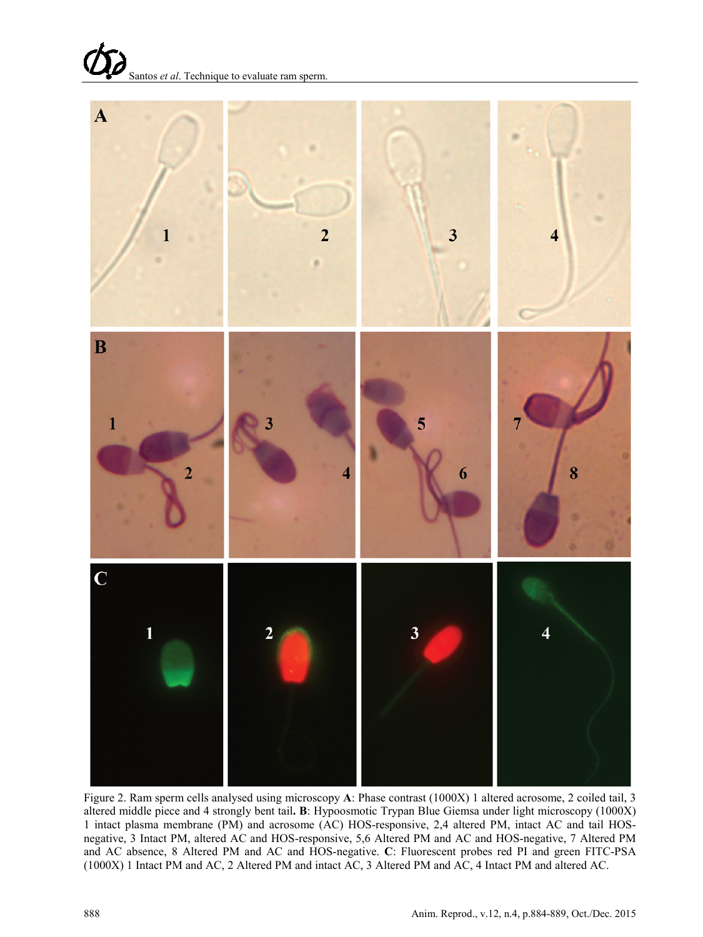



Figure 2. Ram sperm cells analysed using microscopy **A**: Phase contrast (1000X) 1 altered acrosome, 2 coiled tail, 3 altered middle piece and 4 strongly bent tail**. B**: Hypoosmotic Trypan Blue Giemsa under light microscopy (1000X) 1 intact plasma membrane (PM) and acrosome (AC) HOS-responsive, 2,4 altered PM, intact AC and tail HOSnegative, 3 Intact PM, altered AC and HOS-responsive, 5,6 Altered PM and AC and HOS-negative, 7 Altered PM and AC absence, 8 Altered PM and AC and HOS-negative. **C**: Fluorescent probes red PI and green FITC-PSA (1000X) 1 Intact PM and AC, 2 Altered PM and intact AC, 3 Altered PM and AC, 4 Intact PM and altered AC.